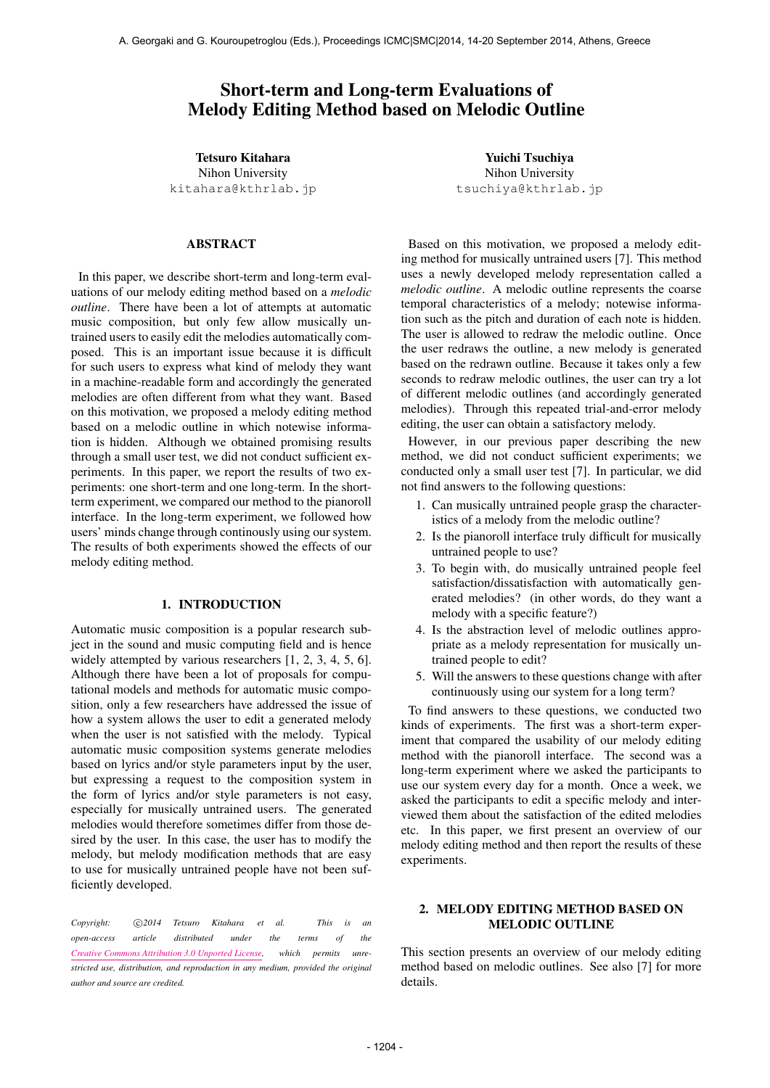# Short-term and Long-term Evaluations of Melody Editing Method based on Melodic Outline

Tetsuro Kitahara

Nihon University kitahara@kthrlab.jp

#### ABSTRACT

In this paper, we describe short-term and long-term evaluations of our melody editing method based on a *melodic outline*. There have been a lot of attempts at automatic music composition, but only few allow musically untrained users to easily edit the melodies automatically composed. This is an important issue because it is difficult for such users to express what kind of melody they want in a machine-readable form and accordingly the generated melodies are often different from what they want. Based on this motivation, we proposed a melody editing method based on a melodic outline in which notewise information is hidden. Although we obtained promising results through a small user test, we did not conduct sufficient experiments. In this paper, we report the results of two experiments: one short-term and one long-term. In the shortterm experiment, we compared our method to the pianoroll interface. In the long-term experiment, we followed how users' minds change through continously using our system. The results of both experiments showed the effects of our melody editing method.

## 1. INTRODUCTION

Automatic music composition is a popular research subject in the sound and music computing field and is hence widely attempted by various researchers [1, 2, 3, 4, 5, 6]. Although there have been a lot of proposals for computational models and methods for automatic music composition, only a few researchers have addressed the issue of how a system allows the user to edit a generated melody when the user is not satisfied with the melody. Typical automatic music composition systems generate melodies based on lyrics and/or style parameters input by the user, but expressing a request to the composition system in the form of lyrics and/or style parameters is not easy, especially for musically untrained users. The generated melodies would therefore sometimes differ from those desired by the user. In this case, the user has to modify the melody, but melody modification methods that are easy to use for musically untrained people have not been sufficiently developed.

*Copyright:*  $\bigcirc$ 2014 Tetsuro Kitahara et al. This is an *open-access article distributed under the terms of the Creative Commons Attribution 3.0 Unported License, which permits unrestricted use, distribution, and reproduction in any medium, provided the original author and source are credited.*

Yuichi Tsuchiya Nihon University tsuchiya@kthrlab.jp

Based on this motivation, we proposed a melody editing method for musically untrained users [7]. This method uses a newly developed melody representation called a *melodic outline*. A melodic outline represents the coarse temporal characteristics of a melody; notewise information such as the pitch and duration of each note is hidden. The user is allowed to redraw the melodic outline. Once the user redraws the outline, a new melody is generated based on the redrawn outline. Because it takes only a few seconds to redraw melodic outlines, the user can try a lot of different melodic outlines (and accordingly generated melodies). Through this repeated trial-and-error melody editing, the user can obtain a satisfactory melody.

However, in our previous paper describing the new method, we did not conduct sufficient experiments; we conducted only a small user test [7]. In particular, we did not find answers to the following questions:

- 1. Can musically untrained people grasp the characteristics of a melody from the melodic outline?
- 2. Is the pianoroll interface truly difficult for musically untrained people to use?
- 3. To begin with, do musically untrained people feel satisfaction/dissatisfaction with automatically generated melodies? (in other words, do they want a melody with a specific feature?)
- 4. Is the abstraction level of melodic outlines appropriate as a melody representation for musically untrained people to edit?
- 5. Will the answers to these questions change with after continuously using our system for a long term?

To find answers to these questions, we conducted two kinds of experiments. The first was a short-term experiment that compared the usability of our melody editing method with the pianoroll interface. The second was a long-term experiment where we asked the participants to use our system every day for a month. Once a week, we asked the participants to edit a specific melody and interviewed them about the satisfaction of the edited melodies etc. In this paper, we first present an overview of our melody editing method and then report the results of these experiments.

#### 2. MELODY EDITING METHOD BASED ON MELODIC OUTLINE

This section presents an overview of our melody editing method based on melodic outlines. See also [7] for more details.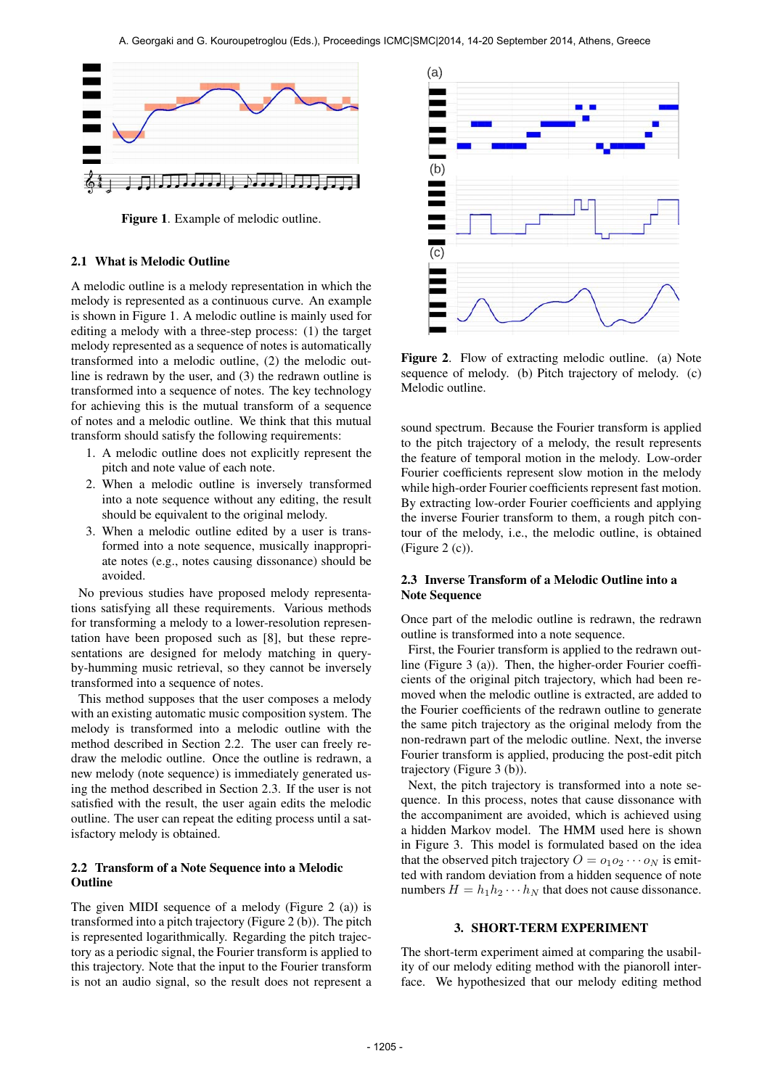

Figure 1. Example of melodic outline.

#### 2.1 What is Melodic Outline

A melodic outline is a melody representation in which the melody is represented as a continuous curve. An example is shown in Figure 1. A melodic outline is mainly used for editing a melody with a three-step process: (1) the target melody represented as a sequence of notes is automatically transformed into a melodic outline, (2) the melodic outline is redrawn by the user, and (3) the redrawn outline is transformed into a sequence of notes. The key technology for achieving this is the mutual transform of a sequence of notes and a melodic outline. We think that this mutual transform should satisfy the following requirements:

- 1. A melodic outline does not explicitly represent the pitch and note value of each note.
- 2. When a melodic outline is inversely transformed into a note sequence without any editing, the result should be equivalent to the original melody.
- 3. When a melodic outline edited by a user is transformed into a note sequence, musically inappropriate notes (e.g., notes causing dissonance) should be avoided.

No previous studies have proposed melody representations satisfying all these requirements. Various methods for transforming a melody to a lower-resolution representation have been proposed such as [8], but these representations are designed for melody matching in queryby-humming music retrieval, so they cannot be inversely transformed into a sequence of notes.

This method supposes that the user composes a melody with an existing automatic music composition system. The melody is transformed into a melodic outline with the method described in Section 2.2. The user can freely redraw the melodic outline. Once the outline is redrawn, a new melody (note sequence) is immediately generated using the method described in Section 2.3. If the user is not satisfied with the result, the user again edits the melodic outline. The user can repeat the editing process until a satisfactory melody is obtained.

### 2.2 Transform of a Note Sequence into a Melodic **Outline**

The given MIDI sequence of a melody (Figure 2 (a)) is transformed into a pitch trajectory (Figure 2 (b)). The pitch is represented logarithmically. Regarding the pitch trajectory as a periodic signal, the Fourier transform is applied to this trajectory. Note that the input to the Fourier transform is not an audio signal, so the result does not represent a



Figure 2. Flow of extracting melodic outline. (a) Note sequence of melody. (b) Pitch trajectory of melody. (c) Melodic outline.

sound spectrum. Because the Fourier transform is applied to the pitch trajectory of a melody, the result represents the feature of temporal motion in the melody. Low-order Fourier coefficients represent slow motion in the melody while high-order Fourier coefficients represent fast motion. By extracting low-order Fourier coefficients and applying the inverse Fourier transform to them, a rough pitch contour of the melody, i.e., the melodic outline, is obtained (Figure 2 (c)).

## 2.3 Inverse Transform of a Melodic Outline into a Note Sequence

Once part of the melodic outline is redrawn, the redrawn outline is transformed into a note sequence.

First, the Fourier transform is applied to the redrawn outline (Figure 3 (a)). Then, the higher-order Fourier coefficients of the original pitch trajectory, which had been removed when the melodic outline is extracted, are added to the Fourier coefficients of the redrawn outline to generate the same pitch trajectory as the original melody from the non-redrawn part of the melodic outline. Next, the inverse Fourier transform is applied, producing the post-edit pitch trajectory (Figure 3 (b)).

Next, the pitch trajectory is transformed into a note sequence. In this process, notes that cause dissonance with the accompaniment are avoided, which is achieved using a hidden Markov model. The HMM used here is shown in Figure 3. This model is formulated based on the idea that the observed pitch trajectory  $O = o_1 o_2 \cdots o_N$  is emitted with random deviation from a hidden sequence of note numbers  $H = h_1 h_2 \cdots h_N$  that does not cause dissonance.

### 3. SHORT-TERM EXPERIMENT

The short-term experiment aimed at comparing the usability of our melody editing method with the pianoroll interface. We hypothesized that our melody editing method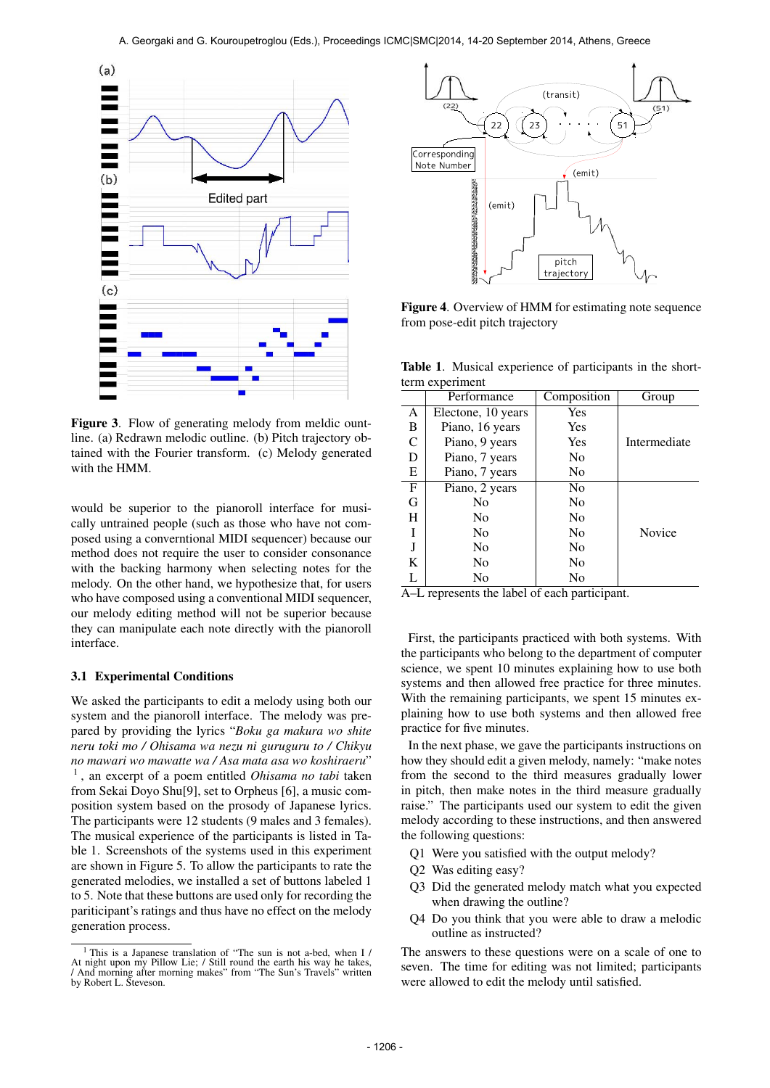

Figure 3. Flow of generating melody from meldic ountline. (a) Redrawn melodic outline. (b) Pitch trajectory obtained with the Fourier transform. (c) Melody generated with the HMM.

would be superior to the pianoroll interface for musically untrained people (such as those who have not composed using a converntional MIDI sequencer) because our method does not require the user to consider consonance with the backing harmony when selecting notes for the melody. On the other hand, we hypothesize that, for users who have composed using a conventional MIDI sequencer, our melody editing method will not be superior because they can manipulate each note directly with the pianoroll interface.

#### 3.1 Experimental Conditions

We asked the participants to edit a melody using both our system and the pianoroll interface. The melody was prepared by providing the lyrics "*Boku ga makura wo shite neru toki mo / Ohisama wa nezu ni guruguru to / Chikyu no mawari wo mawatte wa / Asa mata asa wo koshiraeru*" 1 , an excerpt of a poem entitled *Ohisama no tabi* taken from Sekai Doyo Shu[9], set to Orpheus [6], a music composition system based on the prosody of Japanese lyrics. The participants were 12 students (9 males and 3 females). The musical experience of the participants is listed in Table 1. Screenshots of the systems used in this experiment are shown in Figure 5. To allow the participants to rate the generated melodies, we installed a set of buttons labeled 1 to 5. Note that these buttons are used only for recording the pariticipant's ratings and thus have no effect on the melody generation process.



Figure 4. Overview of HMM for estimating note sequence from pose-edit pitch trajectory

Table 1. Musical experience of participants in the shortterm experiment

|              | Performance        | Composition    | Group        |
|--------------|--------------------|----------------|--------------|
| A            | Electone, 10 years | Yes            |              |
| B            | Piano, 16 years    | Yes            |              |
| C            | Piano, 9 years     | Yes            | Intermediate |
| D            | Piano, 7 years     | No             |              |
| E            | Piano, 7 years     | No             |              |
| $\mathbf{F}$ | Piano, 2 years     | No             |              |
| G            | N <sub>0</sub>     | No             |              |
| H            | N <sub>0</sub>     | N <sub>0</sub> |              |
| T            | N <sub>0</sub>     | N <sub>0</sub> | Novice       |
|              | N <sub>0</sub>     | N <sub>0</sub> |              |
| K            | N <sub>0</sub>     | N <sub>0</sub> |              |
| L            | No                 | No             |              |

A–L represents the label of each participant.

First, the participants practiced with both systems. With the participants who belong to the department of computer science, we spent 10 minutes explaining how to use both systems and then allowed free practice for three minutes. With the remaining participants, we spent 15 minutes explaining how to use both systems and then allowed free practice for five minutes.

In the next phase, we gave the participants instructions on how they should edit a given melody, namely: "make notes from the second to the third measures gradually lower in pitch, then make notes in the third measure gradually raise." The participants used our system to edit the given melody according to these instructions, and then answered the following questions:

- Q1 Were you satisfied with the output melody?
- Q2 Was editing easy?
- Q3 Did the generated melody match what you expected when drawing the outline?
- Q4 Do you think that you were able to draw a melodic outline as instructed?

The answers to these questions were on a scale of one to seven. The time for editing was not limited; participants were allowed to edit the melody until satisfied.

<sup>1</sup> This is a Japanese translation of "The sun is not a-bed, when I / At night upon my Pillow Lie; / Still round the earth his way he takes, / And morning after morning makes" from "The Sun's Travels" written by Robert L. Steveson.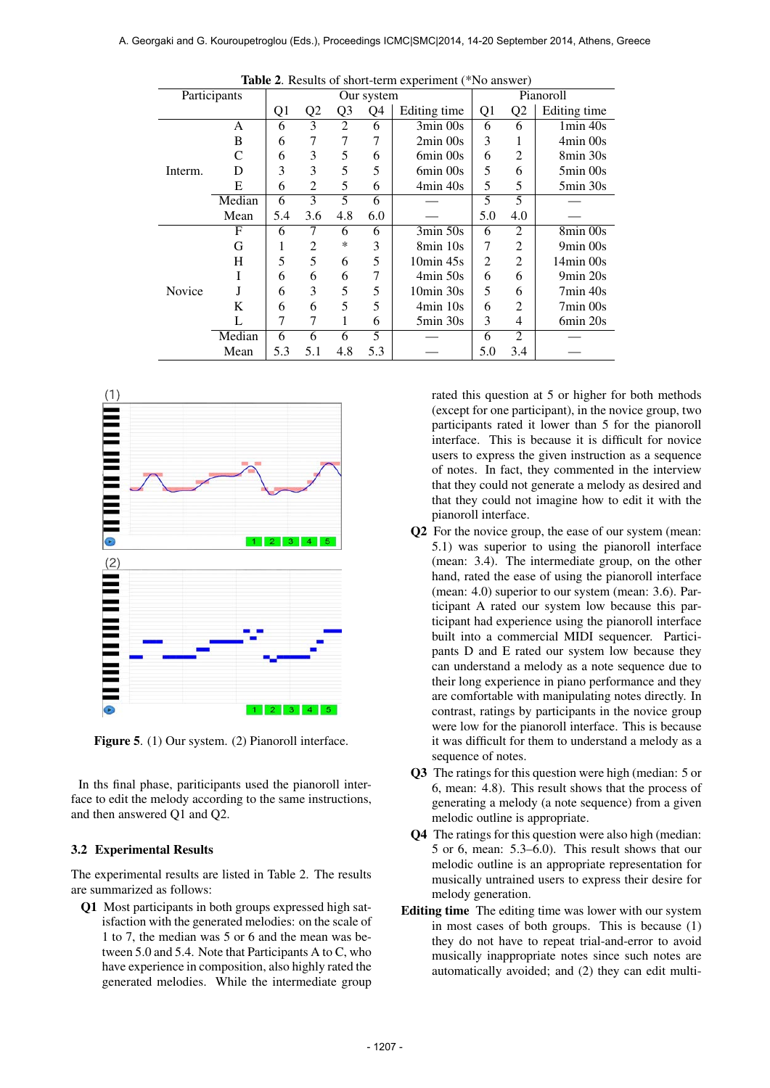| <b>Table 2.</b> Results of short-term experiment ("No answer) |        |                |                |                |     |                          |                |                |                          |
|---------------------------------------------------------------|--------|----------------|----------------|----------------|-----|--------------------------|----------------|----------------|--------------------------|
| Participants                                                  |        | Our system     |                |                |     |                          | Pianoroll      |                |                          |
|                                                               |        | Q <sub>1</sub> | Q <sub>2</sub> | Q <sub>3</sub> | Q4  | Editing time             | Q <sub>1</sub> | Q2             | Editing time             |
|                                                               | A      | 6              | 3              | $\overline{2}$ | 6   | 3min 00s                 | 6              | 6              | $1min$ 40s               |
|                                                               | B      | 6              | 7              |                | 7   | $2min$ 00s               | 3              |                | 4min 00s                 |
|                                                               | C      | 6              | 3              | 5              | 6   | 6min 00s                 | 6              | $\overline{2}$ | 8min 30s                 |
| Interm.                                                       | D      | 3              | 3              | 5              | 5   | 6min 00s                 | 5              | 6              | $5\text{min}$ 00s        |
|                                                               | E      | 6              | $\overline{2}$ | 5              | 6   | 4min 40s                 | 5              | 5              | $5\text{min} 30\text{s}$ |
|                                                               | Median | 6              | 3              | 5              | 6   |                          | 5              | 5              |                          |
|                                                               | Mean   | 5.4            | 3.6            | 4.8            | 6.0 |                          | 5.0            | 4.0            |                          |
|                                                               | F      | 6              | 7              | 6              | 6   | 3min 50s                 | 6              | $\overline{2}$ | 8min 00s                 |
|                                                               | G      | 1              | 2              | *              | 3   | 8min 10s                 | 7              | 2              | $9min$ 00s               |
|                                                               | H      | 5              | 5              | 6              | 5   | $10\text{min}$ 45s       | 2              | $\overline{2}$ | $14\text{min}$ 00s       |
|                                                               | T      | 6              | 6              | 6              | 7   | $4min\ 50s$              | 6              | 6              | 9min 20s                 |
| Novice                                                        | J      | 6              | 3              | 5              | 5   | $10\text{min}$ 30s       | 5              | 6              | $7min$ 40s               |
|                                                               | K      | 6              | 6              | 5              | 5   | $4min$ 10s               | 6              | 2              | 7min 00s                 |
|                                                               | L      | 7              | 7              | 1              | 6   | $5\text{min} 30\text{s}$ | 3              | 4              | 6min 20s                 |
|                                                               | Median | 6              | 6              | 6              | 5   |                          | 6              | $\overline{2}$ |                          |
|                                                               | Mean   | 5.3            | 5.1            | 4.8            | 5.3 |                          | 5.0            | 3.4            |                          |





Figure 5. (1) Our system. (2) Pianoroll interface.

In ths final phase, pariticipants used the pianoroll interface to edit the melody according to the same instructions, and then answered Q1 and Q2.

#### 3.2 Experimental Results

The experimental results are listed in Table 2. The results are summarized as follows:

Q1 Most participants in both groups expressed high satisfaction with the generated melodies: on the scale of 1 to 7, the median was 5 or 6 and the mean was between 5.0 and 5.4. Note that Participants A to C, who have experience in composition, also highly rated the generated melodies. While the intermediate group

rated this question at 5 or higher for both methods (except for one participant), in the novice group, two participants rated it lower than 5 for the pianoroll interface. This is because it is difficult for novice users to express the given instruction as a sequence of notes. In fact, they commented in the interview that they could not generate a melody as desired and that they could not imagine how to edit it with the pianoroll interface.

- Q2 For the novice group, the ease of our system (mean: 5.1) was superior to using the pianoroll interface (mean: 3.4). The intermediate group, on the other hand, rated the ease of using the pianoroll interface (mean: 4.0) superior to our system (mean: 3.6). Participant A rated our system low because this participant had experience using the pianoroll interface built into a commercial MIDI sequencer. Participants D and E rated our system low because they can understand a melody as a note sequence due to their long experience in piano performance and they are comfortable with manipulating notes directly. In contrast, ratings by participants in the novice group were low for the pianoroll interface. This is because it was difficult for them to understand a melody as a sequence of notes.
- Q3 The ratings for this question were high (median: 5 or 6, mean: 4.8). This result shows that the process of generating a melody (a note sequence) from a given melodic outline is appropriate.
- Q4 The ratings for this question were also high (median: 5 or 6, mean: 5.3–6.0). This result shows that our melodic outline is an appropriate representation for musically untrained users to express their desire for melody generation.
- Editing time The editing time was lower with our system in most cases of both groups. This is because (1) they do not have to repeat trial-and-error to avoid musically inappropriate notes since such notes are automatically avoided; and (2) they can edit multi-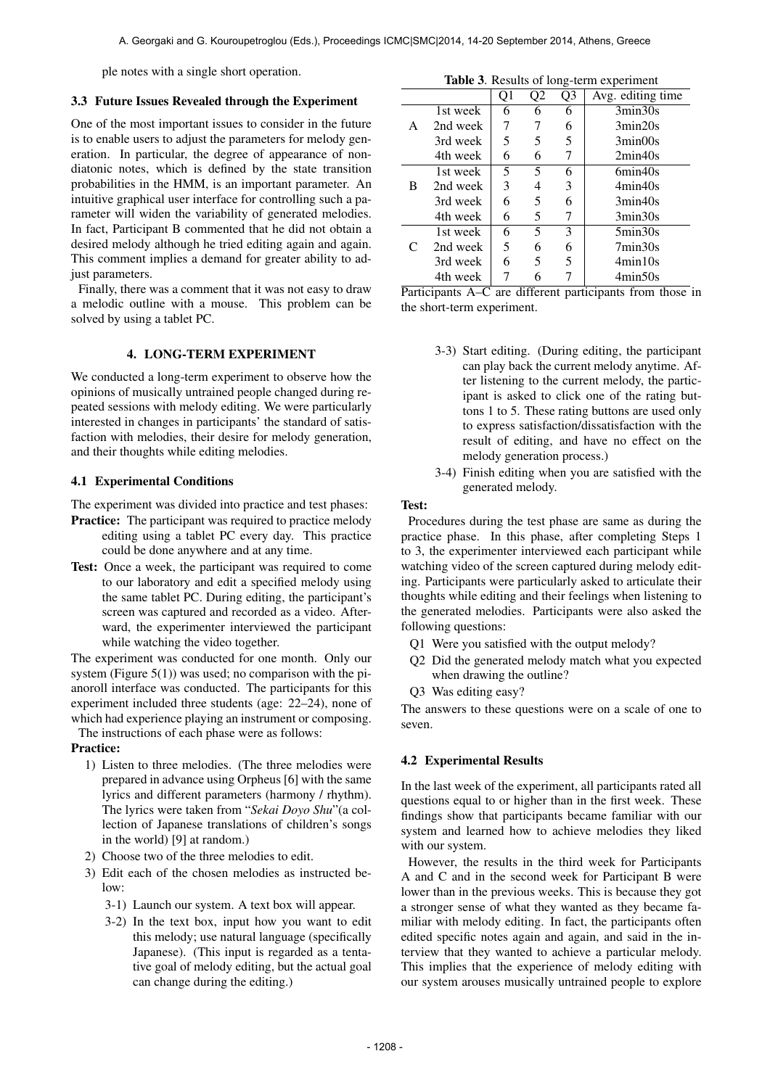ple notes with a single short operation.

#### 3.3 Future Issues Revealed through the Experiment

One of the most important issues to consider in the future is to enable users to adjust the parameters for melody generation. In particular, the degree of appearance of nondiatonic notes, which is defined by the state transition probabilities in the HMM, is an important parameter. An intuitive graphical user interface for controlling such a parameter will widen the variability of generated melodies. In fact, Participant B commented that he did not obtain a desired melody although he tried editing again and again. This comment implies a demand for greater ability to adjust parameters.

Finally, there was a comment that it was not easy to draw a melodic outline with a mouse. This problem can be solved by using a tablet PC.

## 4. LONG-TERM EXPERIMENT

We conducted a long-term experiment to observe how the opinions of musically untrained people changed during repeated sessions with melody editing. We were particularly interested in changes in participants' the standard of satisfaction with melodies, their desire for melody generation, and their thoughts while editing melodies.

#### 4.1 Experimental Conditions

The experiment was divided into practice and test phases:

- Practice: The participant was required to practice melody editing using a tablet PC every day. This practice could be done anywhere and at any time.
- Test: Once a week, the participant was required to come to our laboratory and edit a specified melody using the same tablet PC. During editing, the participant's screen was captured and recorded as a video. Afterward, the experimenter interviewed the participant while watching the video together.

The experiment was conducted for one month. Only our system (Figure  $5(1)$ ) was used; no comparison with the pianoroll interface was conducted. The participants for this experiment included three students (age: 22–24), none of which had experience playing an instrument or composing.

The instructions of each phase were as follows:

#### Practice:

- 1) Listen to three melodies. (The three melodies were prepared in advance using Orpheus [6] with the same lyrics and different parameters (harmony / rhythm). The lyrics were taken from "*Sekai Doyo Shu*"(a collection of Japanese translations of children's songs in the world) [9] at random.)
- 2) Choose two of the three melodies to edit.
- 3) Edit each of the chosen melodies as instructed below:
	- 3-1) Launch our system. A text box will appear.
	- 3-2) In the text box, input how you want to edit this melody; use natural language (specifically Japanese). (This input is regarded as a tentative goal of melody editing, but the actual goal can change during the editing.)

| <b>Table 3.</b> Results of long-term experiment |                                                                      |    |           |    |                                              |  |
|-------------------------------------------------|----------------------------------------------------------------------|----|-----------|----|----------------------------------------------|--|
|                                                 |                                                                      | Q1 | Q2        | Q3 | Avg. editing time                            |  |
|                                                 | 1st week                                                             | 6  | 6         | 6  | 3min30s                                      |  |
| A                                               | 2nd week                                                             | 7  |           | 6  | 3min20s                                      |  |
|                                                 | 3rd week                                                             | 5  | 5         | 5  | 3min <sub>00s</sub>                          |  |
|                                                 | 4th week                                                             | 6  | 6         | 7  | 2min40s                                      |  |
|                                                 | 1st week                                                             | 5  | 5         | 6  | 6min40s                                      |  |
| B                                               | 2nd week                                                             | 3  | 4         | 3  | 4min40s                                      |  |
|                                                 | 3rd week                                                             | 6  | 5         | 6  | 3min40s                                      |  |
|                                                 | 4th week                                                             | 6  | 5         |    | 3min30s                                      |  |
|                                                 | 1st week                                                             | 6  | 5         | 3  | $5\text{min}30\text{s}$                      |  |
| C                                               | 2nd week                                                             | 5  | 6         | 6  | 7min30s                                      |  |
|                                                 | 3rd week                                                             | 6  | 5         | 5  | 4min10s                                      |  |
|                                                 | 4th week<br>$\mathbf{r}$ and $\mathbf{r}$ and $\mathbf{r}$<br>$\sim$ | 7  | 6<br>1.00 |    | 4min50s<br>$\cdot$ 1<br>$\sim$ $\sim$ $\sim$ |  |

Participants A–C are different participants from those in the short-term experiment.

- 3-3) Start editing. (During editing, the participant can play back the current melody anytime. After listening to the current melody, the participant is asked to click one of the rating buttons 1 to 5. These rating buttons are used only to express satisfaction/dissatisfaction with the result of editing, and have no effect on the melody generation process.)
- 3-4) Finish editing when you are satisfied with the generated melody.

## Test:

Procedures during the test phase are same as during the practice phase. In this phase, after completing Steps 1 to 3, the experimenter interviewed each participant while watching video of the screen captured during melody editing. Participants were particularly asked to articulate their thoughts while editing and their feelings when listening to the generated melodies. Participants were also asked the following questions:

- Q1 Were you satisfied with the output melody?
- Q2 Did the generated melody match what you expected when drawing the outline?
- Q3 Was editing easy?

The answers to these questions were on a scale of one to seven.

#### 4.2 Experimental Results

In the last week of the experiment, all participants rated all questions equal to or higher than in the first week. These findings show that participants became familiar with our system and learned how to achieve melodies they liked with our system.

However, the results in the third week for Participants A and C and in the second week for Participant B were lower than in the previous weeks. This is because they got a stronger sense of what they wanted as they became familiar with melody editing. In fact, the participants often edited specific notes again and again, and said in the interview that they wanted to achieve a particular melody. This implies that the experience of melody editing with our system arouses musically untrained people to explore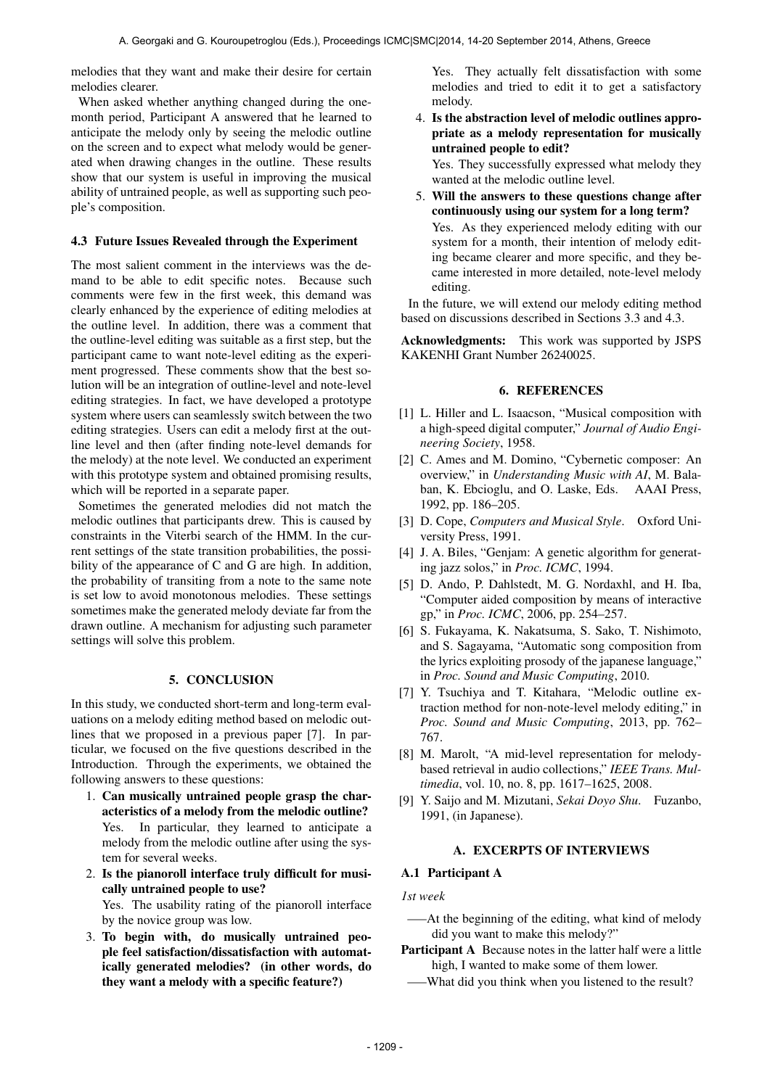melodies that they want and make their desire for certain melodies clearer.

When asked whether anything changed during the onemonth period, Participant A answered that he learned to anticipate the melody only by seeing the melodic outline on the screen and to expect what melody would be generated when drawing changes in the outline. These results show that our system is useful in improving the musical ability of untrained people, as well as supporting such people's composition.

#### 4.3 Future Issues Revealed through the Experiment

The most salient comment in the interviews was the demand to be able to edit specific notes. Because such comments were few in the first week, this demand was clearly enhanced by the experience of editing melodies at the outline level. In addition, there was a comment that the outline-level editing was suitable as a first step, but the participant came to want note-level editing as the experiment progressed. These comments show that the best solution will be an integration of outline-level and note-level editing strategies. In fact, we have developed a prototype system where users can seamlessly switch between the two editing strategies. Users can edit a melody first at the outline level and then (after finding note-level demands for the melody) at the note level. We conducted an experiment with this prototype system and obtained promising results, which will be reported in a separate paper.

Sometimes the generated melodies did not match the melodic outlines that participants drew. This is caused by constraints in the Viterbi search of the HMM. In the current settings of the state transition probabilities, the possibility of the appearance of C and G are high. In addition, the probability of transiting from a note to the same note is set low to avoid monotonous melodies. These settings sometimes make the generated melody deviate far from the drawn outline. A mechanism for adjusting such parameter settings will solve this problem.

## 5. CONCLUSION

In this study, we conducted short-term and long-term evaluations on a melody editing method based on melodic outlines that we proposed in a previous paper [7]. In particular, we focused on the five questions described in the Introduction. Through the experiments, we obtained the following answers to these questions:

- 1. Can musically untrained people grasp the characteristics of a melody from the melodic outline? Yes. In particular, they learned to anticipate a melody from the melodic outline after using the system for several weeks.
- 2. Is the pianoroll interface truly difficult for musically untrained people to use? Yes. The usability rating of the pianoroll interface by the novice group was low.
- 3. To begin with, do musically untrained people feel satisfaction/dissatisfaction with automatically generated melodies? (in other words, do they want a melody with a specific feature?)

Yes. They actually felt dissatisfaction with some melodies and tried to edit it to get a satisfactory melody.

4. Is the abstraction level of melodic outlines appropriate as a melody representation for musically untrained people to edit?

Yes. They successfully expressed what melody they wanted at the melodic outline level.

5. Will the answers to these questions change after continuously using our system for a long term? Yes. As they experienced melody editing with our system for a month, their intention of melody editing became clearer and more specific, and they became interested in more detailed, note-level melody editing.

In the future, we will extend our melody editing method based on discussions described in Sections 3.3 and 4.3.

Acknowledgments: This work was supported by JSPS KAKENHI Grant Number 26240025.

#### 6. REFERENCES

- [1] L. Hiller and L. Isaacson, "Musical composition with a high-speed digital computer," *Journal of Audio Engineering Society*, 1958.
- [2] C. Ames and M. Domino, "Cybernetic composer: An overview," in *Understanding Music with AI*, M. Balaban, K. Ebcioglu, and O. Laske, Eds. AAAI Press, 1992, pp. 186–205.
- [3] D. Cope, *Computers and Musical Style*. Oxford University Press, 1991.
- [4] J. A. Biles, "Genjam: A genetic algorithm for generating jazz solos," in *Proc. ICMC*, 1994.
- [5] D. Ando, P. Dahlstedt, M. G. Nordaxhl, and H. Iba, "Computer aided composition by means of interactive gp," in *Proc. ICMC*, 2006, pp. 254–257.
- [6] S. Fukayama, K. Nakatsuma, S. Sako, T. Nishimoto, and S. Sagayama, "Automatic song composition from the lyrics exploiting prosody of the japanese language," in *Proc. Sound and Music Computing*, 2010.
- [7] Y. Tsuchiya and T. Kitahara, "Melodic outline extraction method for non-note-level melody editing," in *Proc. Sound and Music Computing*, 2013, pp. 762– 767.
- [8] M. Marolt, "A mid-level representation for melodybased retrieval in audio collections," *IEEE Trans. Multimedia*, vol. 10, no. 8, pp. 1617–1625, 2008.
- [9] Y. Saijo and M. Mizutani, *Sekai Doyo Shu*. Fuzanbo, 1991, (in Japanese).

### A. EXCERPTS OF INTERVIEWS

#### A.1 Participant A

*1st week*

- —–At the beginning of the editing, what kind of melody did you want to make this melody?"
- Participant A Because notes in the latter half were a little high, I wanted to make some of them lower.
- What did you think when you listened to the result?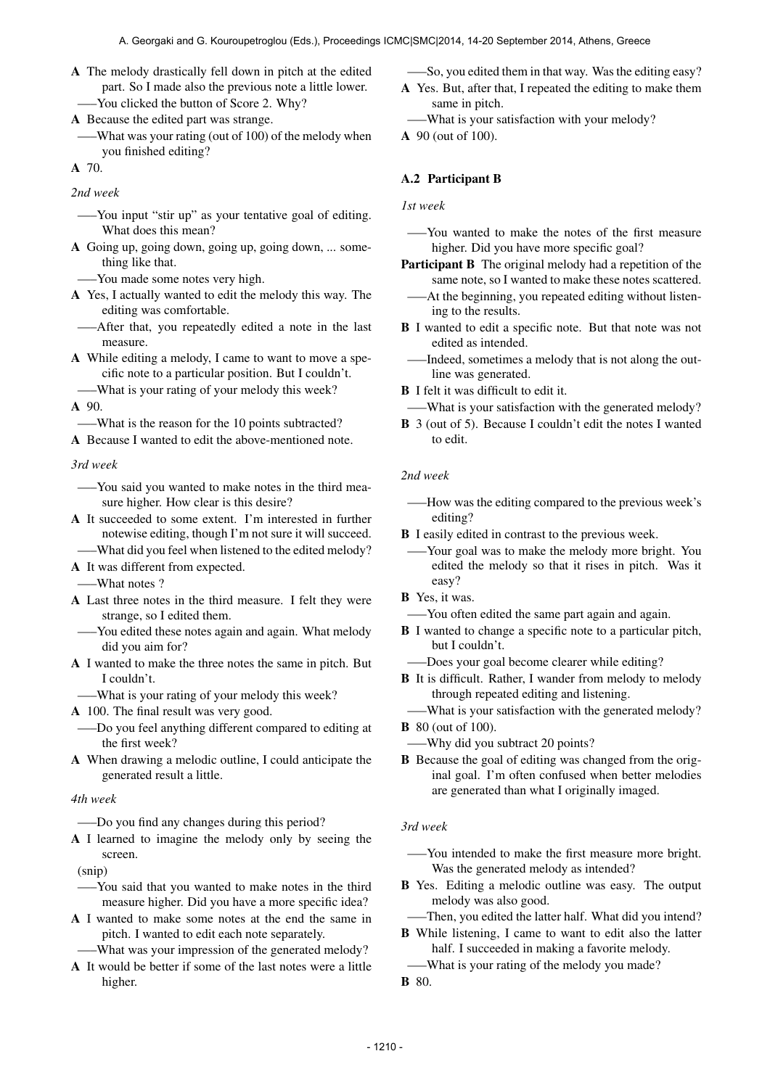A The melody drastically fell down in pitch at the edited part. So I made also the previous note a little lower. —–You clicked the button of Score 2. Why?

A Because the edited part was strange.

- —–What was your rating (out of 100) of the melody when
- you finished editing?

A 70.

*2nd week*

- —–You input "stir up" as your tentative goal of editing. What does this mean?
- A Going up, going down, going up, going down, ... something like that.
	- —–You made some notes very high.
- A Yes, I actually wanted to edit the melody this way. The editing was comfortable.
- —–After that, you repeatedly edited a note in the last measure.
- A While editing a melody, I came to want to move a specific note to a particular position. But I couldn't.
- —–What is your rating of your melody this week? A 90.

—–What is the reason for the 10 points subtracted?

A Because I wanted to edit the above-mentioned note.

*3rd week*

- —–You said you wanted to make notes in the third measure higher. How clear is this desire?
- A It succeeded to some extent. I'm interested in further notewise editing, though I'm not sure it will succeed.
	- —–What did you feel when listened to the edited melody?
- A It was different from expected.

—–What notes ?

- A Last three notes in the third measure. I felt they were strange, so I edited them.
- —–You edited these notes again and again. What melody did you aim for?
- A I wanted to make the three notes the same in pitch. But I couldn't.
- —–What is your rating of your melody this week?
- A 100. The final result was very good.
- —–Do you feel anything different compared to editing at the first week?
- A When drawing a melodic outline, I could anticipate the generated result a little.

## *4th week*

—–Do you find any changes during this period?

A I learned to imagine the melody only by seeing the screen.

(snip)

- —–You said that you wanted to make notes in the third measure higher. Did you have a more specific idea?
- A I wanted to make some notes at the end the same in pitch. I wanted to edit each note separately.
	- —–What was your impression of the generated melody?
- A It would be better if some of the last notes were a little higher.

—–So, you edited them in that way. Was the editing easy?

- A Yes. But, after that, I repeated the editing to make them same in pitch.
- —–What is your satisfaction with your melody?
- A 90 (out of 100).

## A.2 Participant B

*1st week*

- —–You wanted to make the notes of the first measure higher. Did you have more specific goal?
- Participant B The original melody had a repetition of the same note, so I wanted to make these notes scattered.
- —–At the beginning, you repeated editing without listening to the results.
- B I wanted to edit a specific note. But that note was not edited as intended.
- —–Indeed, sometimes a melody that is not along the outline was generated.

**B** I felt it was difficult to edit it.

—–What is your satisfaction with the generated melody?

B 3 (out of 5). Because I couldn't edit the notes I wanted to edit.

## *2nd week*

- —–How was the editing compared to the previous week's editing?
- B I easily edited in contrast to the previous week.
- —–Your goal was to make the melody more bright. You edited the melody so that it rises in pitch. Was it easy?
- B Yes, it was.
- —–You often edited the same part again and again.
- **B** I wanted to change a specific note to a particular pitch, but I couldn't.
- —–Does your goal become clearer while editing?
- B It is difficult. Rather, I wander from melody to melody through repeated editing and listening.
- —–What is your satisfaction with the generated melody?

- —–Why did you subtract 20 points?
- B Because the goal of editing was changed from the original goal. I'm often confused when better melodies are generated than what I originally imaged.

## *3rd week*

- —–You intended to make the first measure more bright. Was the generated melody as intended?
- B Yes. Editing a melodic outline was easy. The output melody was also good.
- —–Then, you edited the latter half. What did you intend?
- B While listening, I came to want to edit also the latter half. I succeeded in making a favorite melody.
- —–What is your rating of the melody you made?
- B 80.

**B** 80 (out of 100).